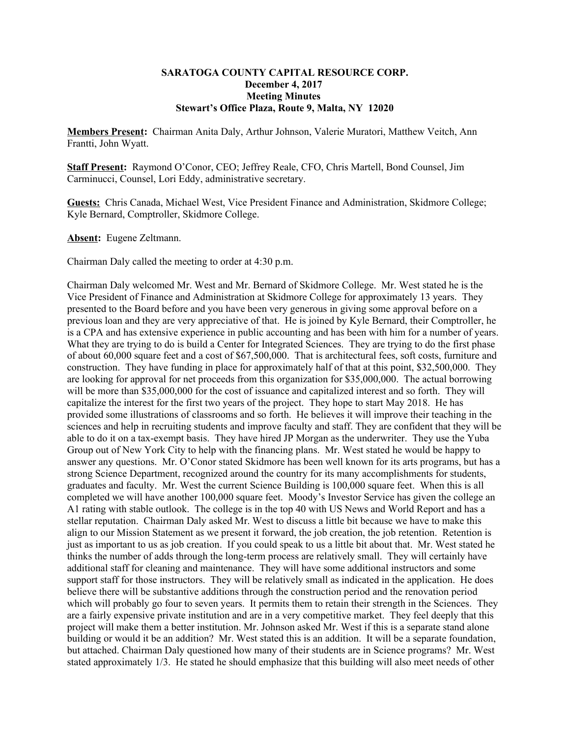## **SARATOGA COUNTY CAPITAL RESOURCE CORP. December 4, 2017 Meeting Minutes Stewart's Office Plaza, Route 9, Malta, NY 12020**

**Members Present:** Chairman Anita Daly, Arthur Johnson, Valerie Muratori, Matthew Veitch, Ann Frantti, John Wyatt.

**Staff Present:** Raymond O'Conor, CEO; Jeffrey Reale, CFO, Chris Martell, Bond Counsel, Jim Carminucci, Counsel, Lori Eddy, administrative secretary.

**Guests:** Chris Canada, Michael West, Vice President Finance and Administration, Skidmore College; Kyle Bernard, Comptroller, Skidmore College.

**Absent:** Eugene Zeltmann.

Chairman Daly called the meeting to order at 4:30 p.m.

Chairman Daly welcomed Mr. West and Mr. Bernard of Skidmore College. Mr. West stated he is the Vice President of Finance and Administration at Skidmore College for approximately 13 years. They presented to the Board before and you have been very generous in giving some approval before on a previous loan and they are very appreciative of that. He is joined by Kyle Bernard, their Comptroller, he is a CPA and has extensive experience in public accounting and has been with him for a number of years. What they are trying to do is build a Center for Integrated Sciences. They are trying to do the first phase of about 60,000 square feet and a cost of \$67,500,000. That is architectural fees, soft costs, furniture and construction. They have funding in place for approximately half of that at this point, \$32,500,000. They are looking for approval for net proceeds from this organization for \$35,000,000. The actual borrowing will be more than \$35,000,000 for the cost of issuance and capitalized interest and so forth. They will capitalize the interest for the first two years of the project. They hope to start May 2018. He has provided some illustrations of classrooms and so forth. He believes it will improve their teaching in the sciences and help in recruiting students and improve faculty and staff. They are confident that they will be able to do it on a tax-exempt basis. They have hired JP Morgan as the underwriter. They use the Yuba Group out of New York City to help with the financing plans. Mr. West stated he would be happy to answer any questions. Mr. O'Conor stated Skidmore has been well known for its arts programs, but has a strong Science Department, recognized around the country for its many accomplishments for students, graduates and faculty. Mr. West the current Science Building is 100,000 square feet. When this is all completed we will have another 100,000 square feet. Moody's Investor Service has given the college an A1 rating with stable outlook. The college is in the top 40 with US News and World Report and has a stellar reputation. Chairman Daly asked Mr. West to discuss a little bit because we have to make this align to our Mission Statement as we present it forward, the job creation, the job retention. Retention is just as important to us as job creation. If you could speak to us a little bit about that. Mr. West stated he thinks the number of adds through the long-term process are relatively small. They will certainly have additional staff for cleaning and maintenance. They will have some additional instructors and some support staff for those instructors. They will be relatively small as indicated in the application. He does believe there will be substantive additions through the construction period and the renovation period which will probably go four to seven years. It permits them to retain their strength in the Sciences. They are a fairly expensive private institution and are in a very competitive market. They feel deeply that this project will make them a better institution. Mr. Johnson asked Mr. West if this is a separate stand alone building or would it be an addition? Mr. West stated this is an addition. It will be a separate foundation, but attached. Chairman Daly questioned how many of their students are in Science programs? Mr. West stated approximately 1/3. He stated he should emphasize that this building will also meet needs of other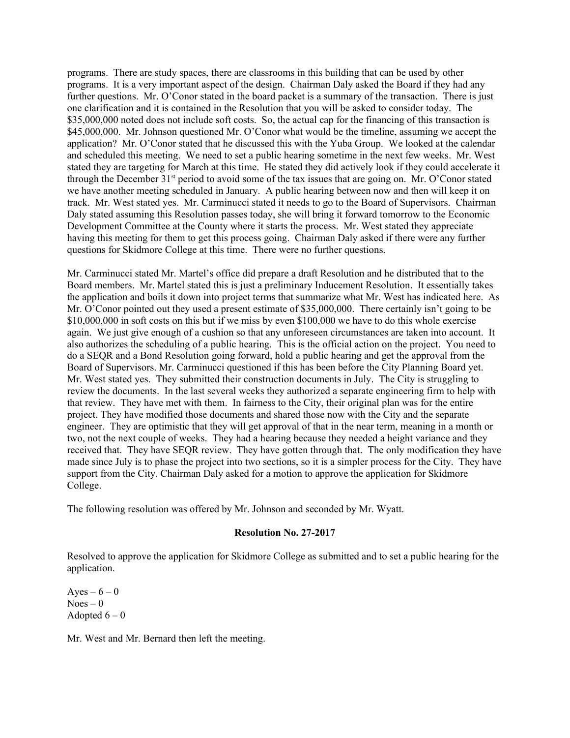programs. There are study spaces, there are classrooms in this building that can be used by other programs. It is a very important aspect of the design. Chairman Daly asked the Board if they had any further questions. Mr. O'Conor stated in the board packet is a summary of the transaction. There is just one clarification and it is contained in the Resolution that you will be asked to consider today. The \$35,000,000 noted does not include soft costs. So, the actual cap for the financing of this transaction is \$45,000,000. Mr. Johnson questioned Mr. O'Conor what would be the timeline, assuming we accept the application? Mr. O'Conor stated that he discussed this with the Yuba Group. We looked at the calendar and scheduled this meeting. We need to set a public hearing sometime in the next few weeks. Mr. West stated they are targeting for March at this time. He stated they did actively look if they could accelerate it through the December  $31<sup>st</sup>$  period to avoid some of the tax issues that are going on. Mr. O'Conor stated we have another meeting scheduled in January. A public hearing between now and then will keep it on track. Mr. West stated yes. Mr. Carminucci stated it needs to go to the Board of Supervisors. Chairman Daly stated assuming this Resolution passes today, she will bring it forward tomorrow to the Economic Development Committee at the County where it starts the process. Mr. West stated they appreciate having this meeting for them to get this process going. Chairman Daly asked if there were any further questions for Skidmore College at this time. There were no further questions.

Mr. Carminucci stated Mr. Martel's office did prepare a draft Resolution and he distributed that to the Board members. Mr. Martel stated this is just a preliminary Inducement Resolution. It essentially takes the application and boils it down into project terms that summarize what Mr. West has indicated here. As Mr. O'Conor pointed out they used a present estimate of \$35,000,000. There certainly isn't going to be \$10,000,000 in soft costs on this but if we miss by even \$100,000 we have to do this whole exercise again. We just give enough of a cushion so that any unforeseen circumstances are taken into account. It also authorizes the scheduling of a public hearing. This is the official action on the project. You need to do a SEQR and a Bond Resolution going forward, hold a public hearing and get the approval from the Board of Supervisors. Mr. Carminucci questioned if this has been before the City Planning Board yet. Mr. West stated yes. They submitted their construction documents in July. The City is struggling to review the documents. In the last several weeks they authorized a separate engineering firm to help with that review. They have met with them. In fairness to the City, their original plan was for the entire project. They have modified those documents and shared those now with the City and the separate engineer. They are optimistic that they will get approval of that in the near term, meaning in a month or two, not the next couple of weeks. They had a hearing because they needed a height variance and they received that. They have SEQR review. They have gotten through that. The only modification they have made since July is to phase the project into two sections, so it is a simpler process for the City. They have support from the City. Chairman Daly asked for a motion to approve the application for Skidmore College.

The following resolution was offered by Mr. Johnson and seconded by Mr. Wyatt.

# **Resolution No. 27-2017**

Resolved to approve the application for Skidmore College as submitted and to set a public hearing for the application.

Ayes –  $6 - 0$  $Noes - 0$ Adopted  $6 - 0$ 

Mr. West and Mr. Bernard then left the meeting.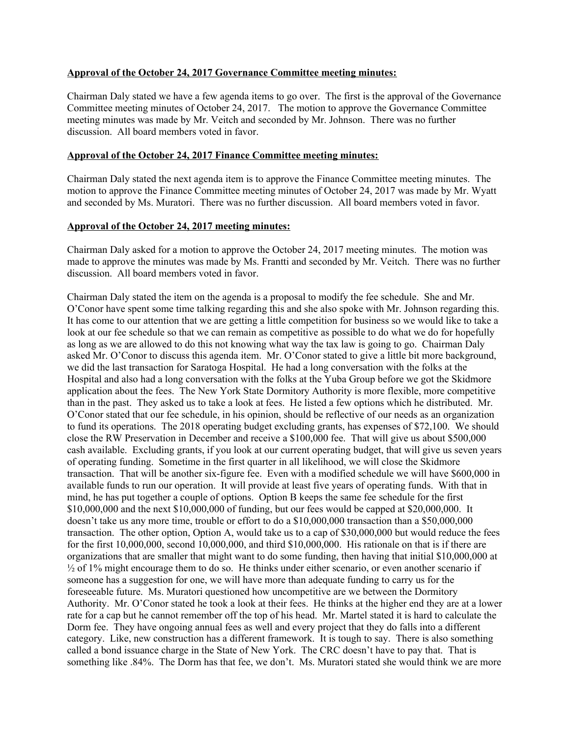## **Approval of the October 24, 2017 Governance Committee meeting minutes:**

Chairman Daly stated we have a few agenda items to go over. The first is the approval of the Governance Committee meeting minutes of October 24, 2017. The motion to approve the Governance Committee meeting minutes was made by Mr. Veitch and seconded by Mr. Johnson. There was no further discussion. All board members voted in favor.

### **Approval of the October 24, 2017 Finance Committee meeting minutes:**

Chairman Daly stated the next agenda item is to approve the Finance Committee meeting minutes. The motion to approve the Finance Committee meeting minutes of October 24, 2017 was made by Mr. Wyatt and seconded by Ms. Muratori. There was no further discussion. All board members voted in favor.

## **Approval of the October 24, 2017 meeting minutes:**

Chairman Daly asked for a motion to approve the October 24, 2017 meeting minutes. The motion was made to approve the minutes was made by Ms. Frantti and seconded by Mr. Veitch. There was no further discussion. All board members voted in favor.

Chairman Daly stated the item on the agenda is a proposal to modify the fee schedule. She and Mr. O'Conor have spent some time talking regarding this and she also spoke with Mr. Johnson regarding this. It has come to our attention that we are getting a little competition for business so we would like to take a look at our fee schedule so that we can remain as competitive as possible to do what we do for hopefully as long as we are allowed to do this not knowing what way the tax law is going to go. Chairman Daly asked Mr. O'Conor to discuss this agenda item. Mr. O'Conor stated to give a little bit more background, we did the last transaction for Saratoga Hospital. He had a long conversation with the folks at the Hospital and also had a long conversation with the folks at the Yuba Group before we got the Skidmore application about the fees. The New York State Dormitory Authority is more flexible, more competitive than in the past. They asked us to take a look at fees. He listed a few options which he distributed. Mr. O'Conor stated that our fee schedule, in his opinion, should be reflective of our needs as an organization to fund its operations. The 2018 operating budget excluding grants, has expenses of \$72,100. We should close the RW Preservation in December and receive a \$100,000 fee. That will give us about \$500,000 cash available. Excluding grants, if you look at our current operating budget, that will give us seven years of operating funding. Sometime in the first quarter in all likelihood, we will close the Skidmore transaction. That will be another six-figure fee. Even with a modified schedule we will have \$600,000 in available funds to run our operation. It will provide at least five years of operating funds. With that in mind, he has put together a couple of options. Option B keeps the same fee schedule for the first \$10,000,000 and the next \$10,000,000 of funding, but our fees would be capped at \$20,000,000. It doesn't take us any more time, trouble or effort to do a \$10,000,000 transaction than a \$50,000,000 transaction. The other option, Option A, would take us to a cap of \$30,000,000 but would reduce the fees for the first 10,000,000, second 10,000,000, and third \$10,000,000. His rationale on that is if there are organizations that are smaller that might want to do some funding, then having that initial \$10,000,000 at  $\frac{1}{2}$  of 1% might encourage them to do so. He thinks under either scenario, or even another scenario if someone has a suggestion for one, we will have more than adequate funding to carry us for the foreseeable future. Ms. Muratori questioned how uncompetitive are we between the Dormitory Authority. Mr. O'Conor stated he took a look at their fees. He thinks at the higher end they are at a lower rate for a cap but he cannot remember off the top of his head. Mr. Martel stated it is hard to calculate the Dorm fee. They have ongoing annual fees as well and every project that they do falls into a different category. Like, new construction has a different framework. It is tough to say. There is also something called a bond issuance charge in the State of New York. The CRC doesn't have to pay that. That is something like .84%. The Dorm has that fee, we don't. Ms. Muratori stated she would think we are more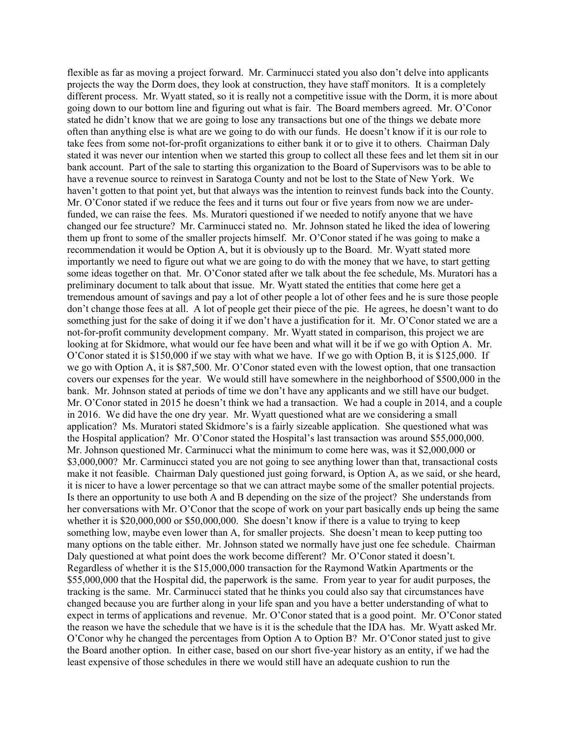flexible as far as moving a project forward. Mr. Carminucci stated you also don't delve into applicants projects the way the Dorm does, they look at construction, they have staff monitors. It is a completely different process. Mr. Wyatt stated, so it is really not a competitive issue with the Dorm, it is more about going down to our bottom line and figuring out what is fair. The Board members agreed. Mr. O'Conor stated he didn't know that we are going to lose any transactions but one of the things we debate more often than anything else is what are we going to do with our funds. He doesn't know if it is our role to take fees from some not-for-profit organizations to either bank it or to give it to others. Chairman Daly stated it was never our intention when we started this group to collect all these fees and let them sit in our bank account. Part of the sale to starting this organization to the Board of Supervisors was to be able to have a revenue source to reinvest in Saratoga County and not be lost to the State of New York. We haven't gotten to that point yet, but that always was the intention to reinvest funds back into the County. Mr. O'Conor stated if we reduce the fees and it turns out four or five years from now we are underfunded, we can raise the fees. Ms. Muratori questioned if we needed to notify anyone that we have changed our fee structure? Mr. Carminucci stated no. Mr. Johnson stated he liked the idea of lowering them up front to some of the smaller projects himself. Mr. O'Conor stated if he was going to make a recommendation it would be Option A, but it is obviously up to the Board. Mr. Wyatt stated more importantly we need to figure out what we are going to do with the money that we have, to start getting some ideas together on that. Mr. O'Conor stated after we talk about the fee schedule, Ms. Muratori has a preliminary document to talk about that issue. Mr. Wyatt stated the entities that come here get a tremendous amount of savings and pay a lot of other people a lot of other fees and he is sure those people don't change those fees at all. A lot of people get their piece of the pie. He agrees, he doesn't want to do something just for the sake of doing it if we don't have a justification for it. Mr. O'Conor stated we are a not-for-profit community development company. Mr. Wyatt stated in comparison, this project we are looking at for Skidmore, what would our fee have been and what will it be if we go with Option A. Mr. O'Conor stated it is \$150,000 if we stay with what we have. If we go with Option B, it is \$125,000. If we go with Option A, it is \$87,500. Mr. O'Conor stated even with the lowest option, that one transaction covers our expenses for the year. We would still have somewhere in the neighborhood of \$500,000 in the bank. Mr. Johnson stated at periods of time we don't have any applicants and we still have our budget. Mr. O'Conor stated in 2015 he doesn't think we had a transaction. We had a couple in 2014, and a couple in 2016. We did have the one dry year. Mr. Wyatt questioned what are we considering a small application? Ms. Muratori stated Skidmore's is a fairly sizeable application. She questioned what was the Hospital application? Mr. O'Conor stated the Hospital's last transaction was around \$55,000,000. Mr. Johnson questioned Mr. Carminucci what the minimum to come here was, was it \$2,000,000 or \$3,000,000? Mr. Carminucci stated you are not going to see anything lower than that, transactional costs make it not feasible. Chairman Daly questioned just going forward, is Option A, as we said, or she heard, it is nicer to have a lower percentage so that we can attract maybe some of the smaller potential projects. Is there an opportunity to use both A and B depending on the size of the project? She understands from her conversations with Mr. O'Conor that the scope of work on your part basically ends up being the same whether it is \$20,000,000 or \$50,000,000. She doesn't know if there is a value to trying to keep something low, maybe even lower than A, for smaller projects. She doesn't mean to keep putting too many options on the table either. Mr. Johnson stated we normally have just one fee schedule. Chairman Daly questioned at what point does the work become different? Mr. O'Conor stated it doesn't. Regardless of whether it is the \$15,000,000 transaction for the Raymond Watkin Apartments or the \$55,000,000 that the Hospital did, the paperwork is the same. From year to year for audit purposes, the tracking is the same. Mr. Carminucci stated that he thinks you could also say that circumstances have changed because you are further along in your life span and you have a better understanding of what to expect in terms of applications and revenue. Mr. O'Conor stated that is a good point. Mr. O'Conor stated the reason we have the schedule that we have is it is the schedule that the IDA has. Mr. Wyatt asked Mr. O'Conor why he changed the percentages from Option A to Option B? Mr. O'Conor stated just to give the Board another option. In either case, based on our short five-year history as an entity, if we had the least expensive of those schedules in there we would still have an adequate cushion to run the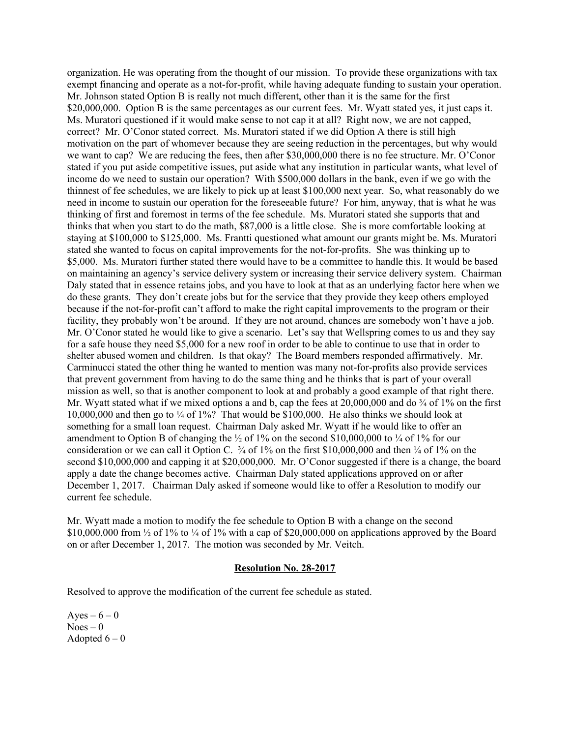organization. He was operating from the thought of our mission. To provide these organizations with tax exempt financing and operate as a not-for-profit, while having adequate funding to sustain your operation. Mr. Johnson stated Option B is really not much different, other than it is the same for the first \$20,000,000. Option B is the same percentages as our current fees. Mr. Wyatt stated yes, it just caps it. Ms. Muratori questioned if it would make sense to not cap it at all? Right now, we are not capped, correct? Mr. O'Conor stated correct. Ms. Muratori stated if we did Option A there is still high motivation on the part of whomever because they are seeing reduction in the percentages, but why would we want to cap? We are reducing the fees, then after \$30,000,000 there is no fee structure. Mr. O'Conor stated if you put aside competitive issues, put aside what any institution in particular wants, what level of income do we need to sustain our operation? With \$500,000 dollars in the bank, even if we go with the thinnest of fee schedules, we are likely to pick up at least \$100,000 next year. So, what reasonably do we need in income to sustain our operation for the foreseeable future? For him, anyway, that is what he was thinking of first and foremost in terms of the fee schedule. Ms. Muratori stated she supports that and thinks that when you start to do the math, \$87,000 is a little close. She is more comfortable looking at staying at \$100,000 to \$125,000. Ms. Frantti questioned what amount our grants might be. Ms. Muratori stated she wanted to focus on capital improvements for the not-for-profits. She was thinking up to \$5,000. Ms. Muratori further stated there would have to be a committee to handle this. It would be based on maintaining an agency's service delivery system or increasing their service delivery system. Chairman Daly stated that in essence retains jobs, and you have to look at that as an underlying factor here when we do these grants. They don't create jobs but for the service that they provide they keep others employed because if the not-for-profit can't afford to make the right capital improvements to the program or their facility, they probably won't be around. If they are not around, chances are somebody won't have a job. Mr. O'Conor stated he would like to give a scenario. Let's say that Wellspring comes to us and they say for a safe house they need \$5,000 for a new roof in order to be able to continue to use that in order to shelter abused women and children. Is that okay? The Board members responded affirmatively. Mr. Carminucci stated the other thing he wanted to mention was many not-for-profits also provide services that prevent government from having to do the same thing and he thinks that is part of your overall mission as well, so that is another component to look at and probably a good example of that right there. Mr. Wyatt stated what if we mixed options a and b, cap the fees at  $20,000,000$  and do  $\frac{3}{4}$  of 1% on the first 10,000,000 and then go to  $\frac{1}{4}$  of 1%? That would be \$100,000. He also thinks we should look at something for a small loan request. Chairman Daly asked Mr. Wyatt if he would like to offer an amendment to Option B of changing the  $\frac{1}{2}$  of 1% on the second \$10,000,000 to  $\frac{1}{4}$  of 1% for our consideration or we can call it Option C.  $\frac{3}{4}$  of 1% on the first \$10,000,000 and then  $\frac{1}{4}$  of 1% on the second \$10,000,000 and capping it at \$20,000,000. Mr. O'Conor suggested if there is a change, the board apply a date the change becomes active. Chairman Daly stated applications approved on or after December 1, 2017. Chairman Daly asked if someone would like to offer a Resolution to modify our current fee schedule.

Mr. Wyatt made a motion to modify the fee schedule to Option B with a change on the second \$10,000,000 from  $\frac{1}{2}$  of 1% to  $\frac{1}{4}$  of 1% with a cap of \$20,000,000 on applications approved by the Board on or after December 1, 2017. The motion was seconded by Mr. Veitch.

#### **Resolution No. 28-2017**

Resolved to approve the modification of the current fee schedule as stated.

Ayes –  $6 - 0$  $Noes - 0$ Adopted  $6 - 0$